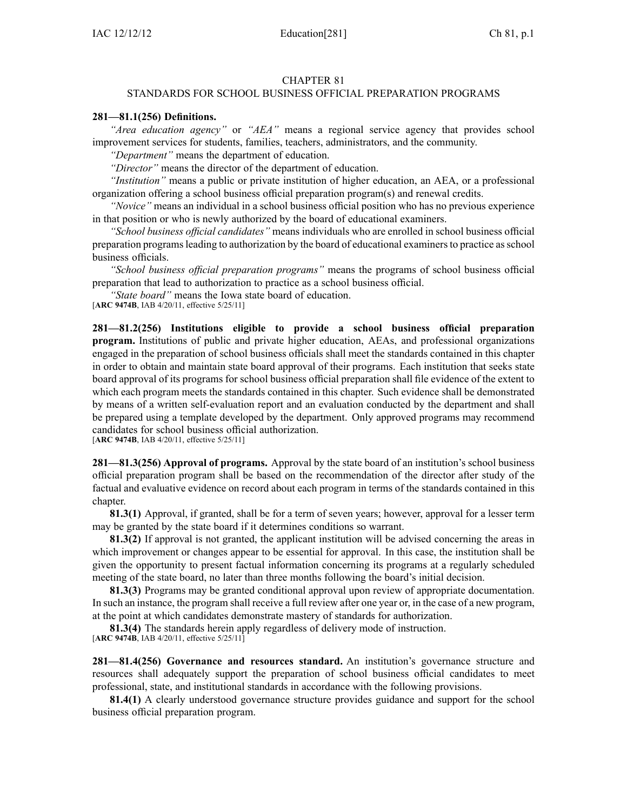## CHAPTER 81

## STANDARDS FOR SCHOOL BUSINESS OFFICIAL PREPARATION PROGRAMS

## **281—81.1(256) Definitions.**

*"Area education agency"* or *"AEA"* means <sup>a</sup> regional service agency that provides school improvement services for students, families, teachers, administrators, and the community.

*"Department"* means the department of education.

*"Director"* means the director of the department of education.

*"Institution"* means <sup>a</sup> public or private institution of higher education, an AEA, or <sup>a</sup> professional organization offering <sup>a</sup> school business official preparation program(s) and renewal credits.

*"Novice"* means an individual in <sup>a</sup> school business official position who has no previous experience in that position or who is newly authorized by the board of educational examiners.

*"School business official candidates"* means individuals who are enrolled in school business official preparation programsleading to authorization by the board of educational examinersto practice asschool business officials.

*"School business official preparation programs"* means the programs of school business official preparation that lead to authorization to practice as <sup>a</sup> school business official.

*"State board"* means the Iowa state board of education.

[**ARC 9474B**, IAB 4/20/11, effective 5/25/11]

**281—81.2(256) Institutions eligible to provide <sup>a</sup> school business official preparation program.** Institutions of public and private higher education, AEAs, and professional organizations engaged in the preparation of school business officials shall meet the standards contained in this chapter in order to obtain and maintain state board approval of their programs. Each institution that seeks state board approval of its programs for school business official preparation shall file evidence of the extent to which each program meets the standards contained in this chapter. Such evidence shall be demonstrated by means of <sup>a</sup> written self-evaluation repor<sup>t</sup> and an evaluation conducted by the department and shall be prepared using <sup>a</sup> template developed by the department. Only approved programs may recommend candidates for school business official authorization.

[**ARC 9474B**, IAB 4/20/11, effective 5/25/11]

**281—81.3(256) Approval of programs.** Approval by the state board of an institution's school business official preparation program shall be based on the recommendation of the director after study of the factual and evaluative evidence on record about each program in terms of the standards contained in this chapter.

**81.3(1)** Approval, if granted, shall be for <sup>a</sup> term of seven years; however, approval for <sup>a</sup> lesser term may be granted by the state board if it determines conditions so warrant.

**81.3(2)** If approval is not granted, the applicant institution will be advised concerning the areas in which improvement or changes appear to be essential for approval. In this case, the institution shall be given the opportunity to presen<sup>t</sup> factual information concerning its programs at <sup>a</sup> regularly scheduled meeting of the state board, no later than three months following the board's initial decision.

**81.3(3)** Programs may be granted conditional approval upon review of appropriate documentation. In such an instance, the program shall receive <sup>a</sup> full review after one year or, in the case of <sup>a</sup> new program, at the point at which candidates demonstrate mastery of standards for authorization.

**81.3(4)** The standards herein apply regardless of delivery mode of instruction. [**ARC 9474B**, IAB 4/20/11, effective 5/25/11]

**281—81.4(256) Governance and resources standard.** An institution's governance structure and resources shall adequately suppor<sup>t</sup> the preparation of school business official candidates to meet professional, state, and institutional standards in accordance with the following provisions.

**81.4(1)** A clearly understood governance structure provides guidance and suppor<sup>t</sup> for the school business official preparation program.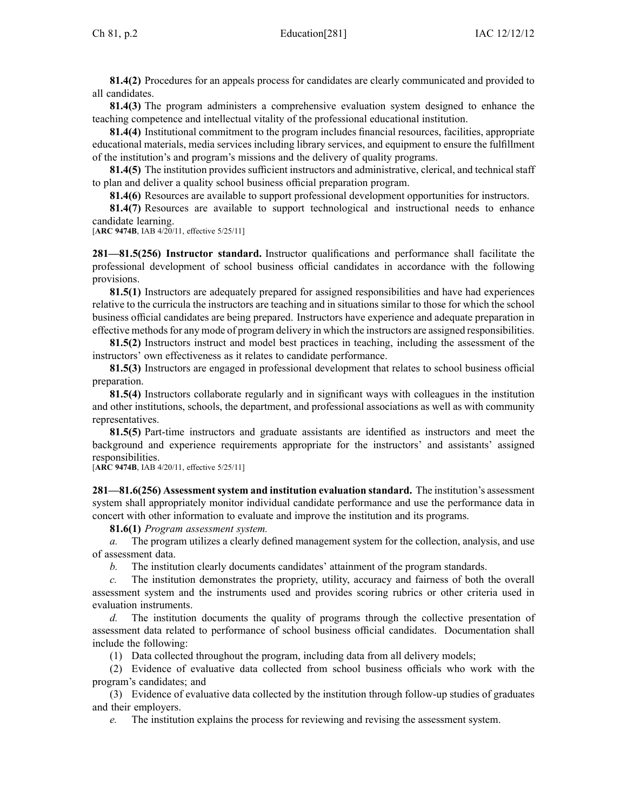**81.4(2)** Procedures for an appeals process for candidates are clearly communicated and provided to all candidates.

**81.4(3)** The program administers <sup>a</sup> comprehensive evaluation system designed to enhance the teaching competence and intellectual vitality of the professional educational institution.

**81.4(4)** Institutional commitment to the program includes financial resources, facilities, appropriate educational materials, media services including library services, and equipment to ensure the fulfillment of the institution's and program's missions and the delivery of quality programs.

**81.4(5)** The institution provides sufficient instructors and administrative, clerical, and technical staff to plan and deliver <sup>a</sup> quality school business official preparation program.

**81.4(6)** Resources are available to suppor<sup>t</sup> professional development opportunities for instructors.

**81.4(7)** Resources are available to suppor<sup>t</sup> technological and instructional needs to enhance candidate learning.

[**ARC 9474B**, IAB 4/20/11, effective 5/25/11]

**281—81.5(256) Instructor standard.** Instructor qualifications and performance shall facilitate the professional development of school business official candidates in accordance with the following provisions.

**81.5(1)** Instructors are adequately prepared for assigned responsibilities and have had experiences relative to the curricula the instructors are teaching and in situations similar to those for which the school business official candidates are being prepared. Instructors have experience and adequate preparation in effective methods for any mode of program delivery in which the instructors are assigned responsibilities.

**81.5(2)** Instructors instruct and model best practices in teaching, including the assessment of the instructors' own effectiveness as it relates to candidate performance.

**81.5(3)** Instructors are engaged in professional development that relates to school business official preparation.

**81.5(4)** Instructors collaborate regularly and in significant ways with colleagues in the institution and other institutions, schools, the department, and professional associations as well as with community representatives.

**81.5(5)** Part-time instructors and graduate assistants are identified as instructors and meet the background and experience requirements appropriate for the instructors' and assistants' assigned responsibilities.

[**ARC 9474B**, IAB 4/20/11, effective 5/25/11]

**281—81.6(256) Assessmentsystem and institution evaluation standard.** The institution's assessment system shall appropriately monitor individual candidate performance and use the performance data in concert with other information to evaluate and improve the institution and its programs.

**81.6(1)** *Program assessment system.*

*a.* The program utilizes <sup>a</sup> clearly defined managemen<sup>t</sup> system for the collection, analysis, and use of assessment data.

*b.* The institution clearly documents candidates' attainment of the program standards.

*c.* The institution demonstrates the propriety, utility, accuracy and fairness of both the overall assessment system and the instruments used and provides scoring rubrics or other criteria used in evaluation instruments.

*d.* The institution documents the quality of programs through the collective presentation of assessment data related to performance of school business official candidates. Documentation shall include the following:

(1) Data collected throughout the program, including data from all delivery models;

(2) Evidence of evaluative data collected from school business officials who work with the program's candidates; and

(3) Evidence of evaluative data collected by the institution through follow-up studies of graduates and their employers.

*e.* The institution explains the process for reviewing and revising the assessment system.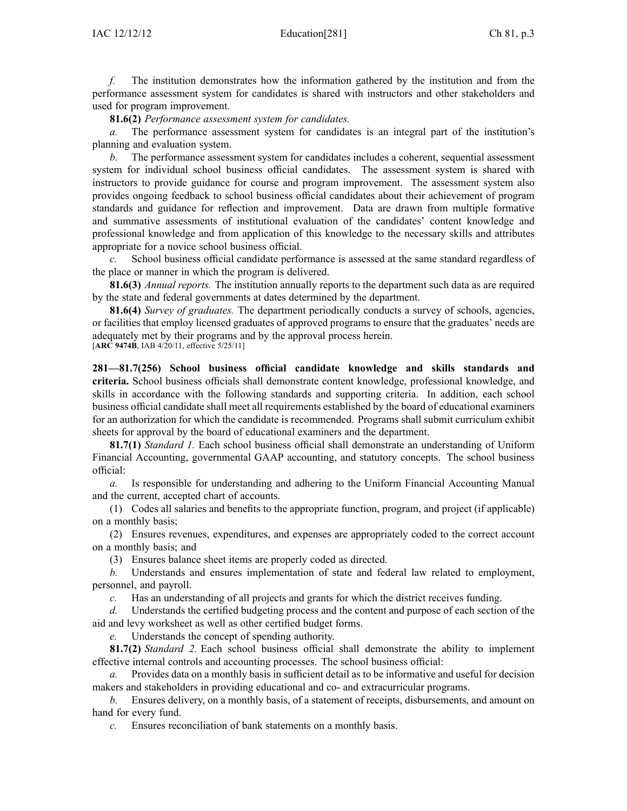*f.* The institution demonstrates how the information gathered by the institution and from the performance assessment system for candidates is shared with instructors and other stakeholders and used for program improvement.

**81.6(2)** *Performance assessment system for candidates.*

*a.* The performance assessment system for candidates is an integral par<sup>t</sup> of the institution's planning and evaluation system.

*b.* The performance assessment system for candidates includes <sup>a</sup> coherent, sequential assessment system for individual school business official candidates. The assessment system is shared with instructors to provide guidance for course and program improvement. The assessment system also provides ongoing feedback to school business official candidates about their achievement of program standards and guidance for reflection and improvement. Data are drawn from multiple formative and summative assessments of institutional evaluation of the candidates' content knowledge and professional knowledge and from application of this knowledge to the necessary skills and attributes appropriate for <sup>a</sup> novice school business official.

*c.* School business official candidate performance is assessed at the same standard regardless of the place or manner in which the program is delivered.

**81.6(3)** *Annual reports.* The institution annually reports to the department such data as are required by the state and federal governments at dates determined by the department.

**81.6(4)** *Survey of graduates.* The department periodically conducts <sup>a</sup> survey of schools, agencies, or facilities that employ licensed graduates of approved programs to ensure that the graduates' needs are adequately met by their programs and by the approval process herein.

[**ARC 9474B**, IAB 4/20/11, effective 5/25/11]

**281—81.7(256) School business official candidate knowledge and skills standards and criteria.** School business officials shall demonstrate content knowledge, professional knowledge, and skills in accordance with the following standards and supporting criteria. In addition, each school business official candidate shall meet all requirements established by the board of educational examiners for an authorization for which the candidate is recommended. Programs shall submit curriculum exhibit sheets for approval by the board of educational examiners and the department.

**81.7(1)** *Standard 1.* Each school business official shall demonstrate an understanding of Uniform Financial Accounting, governmental GAAP accounting, and statutory concepts. The school business official:

*a.* Is responsible for understanding and adhering to the Uniform Financial Accounting Manual and the current, accepted chart of accounts.

(1) Codes all salaries and benefits to the appropriate function, program, and project (if applicable) on <sup>a</sup> monthly basis;

(2) Ensures revenues, expenditures, and expenses are appropriately coded to the correct account on <sup>a</sup> monthly basis; and

(3) Ensures balance sheet items are properly coded as directed.

*b.* Understands and ensures implementation of state and federal law related to employment, personnel, and payroll.

*c.* Has an understanding of all projects and grants for which the district receives funding.

*d.* Understands the certified budgeting process and the content and purpose of each section of the aid and levy worksheet as well as other certified budget forms.

*e.* Understands the concep<sup>t</sup> of spending authority.

**81.7(2)** *Standard 2.* Each school business official shall demonstrate the ability to implement effective internal controls and accounting processes. The school business official:

*a.* Provides data on <sup>a</sup> monthly basis in sufficient detail as to be informative and useful for decision makers and stakeholders in providing educational and co- and extracurricular programs.

*b.* Ensures delivery, on <sup>a</sup> monthly basis, of <sup>a</sup> statement of receipts, disbursements, and amount on hand for every fund.

*c.* Ensures reconciliation of bank statements on <sup>a</sup> monthly basis.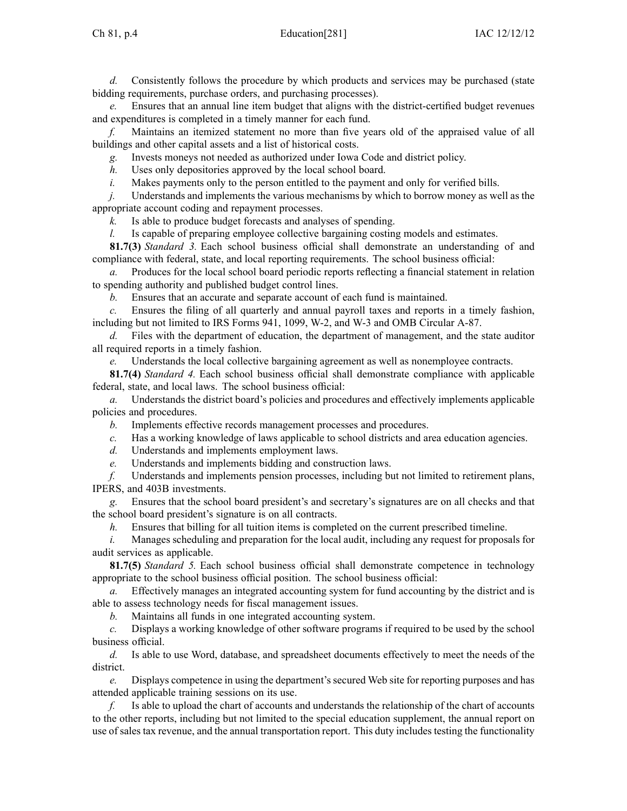*d.* Consistently follows the procedure by which products and services may be purchased (state bidding requirements, purchase orders, and purchasing processes).

*e.* Ensures that an annual line item budget that aligns with the district-certified budget revenues and expenditures is completed in <sup>a</sup> timely manner for each fund.

*f.* Maintains an itemized statement no more than five years old of the appraised value of all buildings and other capital assets and <sup>a</sup> list of historical costs.

*g.* Invests moneys not needed as authorized under Iowa Code and district policy.

*h.* Uses only depositories approved by the local school board.

*i.* Makes payments only to the person entitled to the payment and only for verified bills.

*j.* Understands and implements the various mechanisms by which to borrow money as well as the appropriate account coding and repaymen<sup>t</sup> processes.

*k.* Is able to produce budget forecasts and analyses of spending.

*l.* Is capable of preparing employee collective bargaining costing models and estimates.

**81.7(3)** *Standard 3.* Each school business official shall demonstrate an understanding of and compliance with federal, state, and local reporting requirements. The school business official:

*a.* Produces for the local school board periodic reports reflecting <sup>a</sup> financial statement in relation to spending authority and published budget control lines.

*b.* Ensures that an accurate and separate account of each fund is maintained.

*c.* Ensures the filing of all quarterly and annual payroll taxes and reports in <sup>a</sup> timely fashion, including but not limited to IRS Forms 941, 1099, W-2, and W-3 and OMB Circular A-87.

*d.* Files with the department of education, the department of management, and the state auditor all required reports in <sup>a</sup> timely fashion.

*e.* Understands the local collective bargaining agreemen<sup>t</sup> as well as nonemployee contracts.

**81.7(4)** *Standard 4.* Each school business official shall demonstrate compliance with applicable federal, state, and local laws. The school business official:

*a.* Understands the district board's policies and procedures and effectively implements applicable policies and procedures.

*b.* Implements effective records managemen<sup>t</sup> processes and procedures.

*c.* Has <sup>a</sup> working knowledge of laws applicable to school districts and area education agencies.

*d.* Understands and implements employment laws.

*e.* Understands and implements bidding and construction laws.

*f.* Understands and implements pension processes, including but not limited to retirement plans, IPERS, and 403B investments.

Ensures that the school board president's and secretary's signatures are on all checks and that the school board president's signature is on all contracts.

*h.* Ensures that billing for all tuition items is completed on the current prescribed timeline.

*i.* Manages scheduling and preparation for the local audit, including any request for proposals for audit services as applicable.

**81.7(5)** *Standard 5.* Each school business official shall demonstrate competence in technology appropriate to the school business official position. The school business official:

*a.* Effectively manages an integrated accounting system for fund accounting by the district and is able to assess technology needs for fiscal managemen<sup>t</sup> issues.

*b.* Maintains all funds in one integrated accounting system.

*c.* Displays <sup>a</sup> working knowledge of other software programs if required to be used by the school business official.

*d.* Is able to use Word, database, and spreadsheet documents effectively to meet the needs of the district.

*e.* Displays competence in using the department's secured Web site for reporting purposes and has attended applicable training sessions on its use.

*f.* Is able to upload the chart of accounts and understands the relationship of the chart of accounts to the other reports, including but not limited to the special education supplement, the annual repor<sup>t</sup> on use of sales tax revenue, and the annual transportation report. This duty includes testing the functionality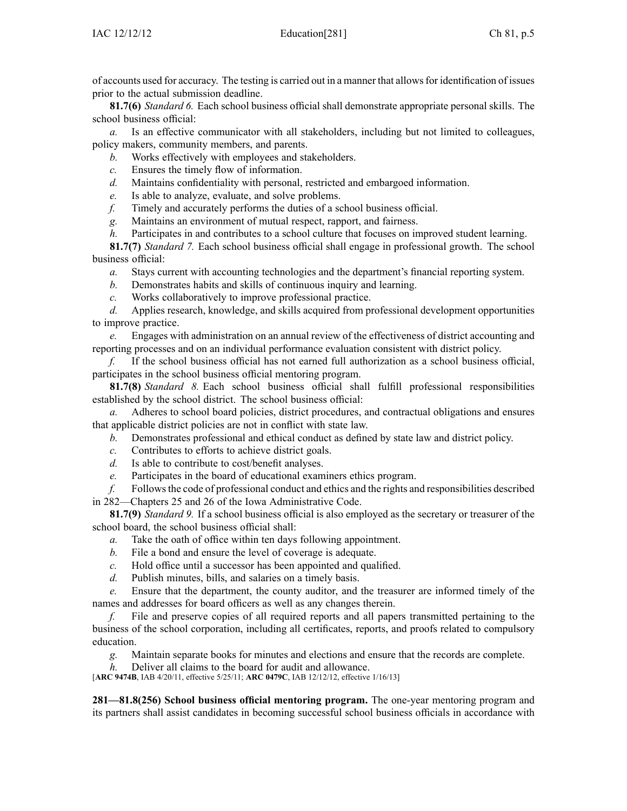of accounts used for accuracy. The testing is carried out in <sup>a</sup> manner that allowsfor identification of issues prior to the actual submission deadline.

**81.7(6)** *Standard 6.* Each school business official shall demonstrate appropriate personal skills. The school business official:

*a.* Is an effective communicator with all stakeholders, including but not limited to colleagues, policy makers, community members, and parents.

- *b.* Works effectively with employees and stakeholders.
- *c.* Ensures the timely flow of information.
- *d.* Maintains confidentiality with personal, restricted and embargoed information.
- *e.* Is able to analyze, evaluate, and solve problems.
- *f.* Timely and accurately performs the duties of <sup>a</sup> school business official.
- *g.* Maintains an environment of mutual respect, rapport, and fairness.
- *h.* Participates in and contributes to a school culture that focuses on improved student learning.

**81.7(7)** *Standard 7.* Each school business official shall engage in professional growth. The school business official:

- *a.* Stays current with accounting technologies and the department's financial reporting system.
- *b.* Demonstrates habits and skills of continuous inquiry and learning.
- *c.* Works collaboratively to improve professional practice.

*d.* Applies research, knowledge, and skills acquired from professional development opportunities to improve practice.

*e.* Engages with administration on an annual review of the effectiveness of district accounting and reporting processes and on an individual performance evaluation consistent with district policy.

*f.* If the school business official has not earned full authorization as <sup>a</sup> school business official, participates in the school business official mentoring program.

**81.7(8)** *Standard 8.* Each school business official shall fulfill professional responsibilities established by the school district. The school business official:

*a.* Adheres to school board policies, district procedures, and contractual obligations and ensures that applicable district policies are not in conflict with state law.

- *b.* Demonstrates professional and ethical conduct as defined by state law and district policy.
- *c.* Contributes to efforts to achieve district goals.
- *d.* Is able to contribute to cost/benefit analyses.
- *e.* Participates in the board of educational examiners ethics program.

*f.* Followsthe code of professional conduct and ethics and the rights and responsibilities described in 282—Chapters 25 and 26 of the Iowa Administrative Code.

**81.7(9)** *Standard 9.* If <sup>a</sup> school business official is also employed as the secretary or treasurer of the school board, the school business official shall:

- *a.* Take the oath of office within ten days following appointment.
- *b.* File <sup>a</sup> bond and ensure the level of coverage is adequate.
- *c.* Hold office until <sup>a</sup> successor has been appointed and qualified.
- *d.* Publish minutes, bills, and salaries on <sup>a</sup> timely basis.

*e.* Ensure that the department, the county auditor, and the treasurer are informed timely of the names and addresses for board officers as well as any changes therein.

*f.* File and preserve copies of all required reports and all papers transmitted pertaining to the business of the school corporation, including all certificates, reports, and proofs related to compulsory education.

*g.* Maintain separate books for minutes and elections and ensure that the records are complete.

*h.* Deliver all claims to the board for audit and allowance.

[**ARC 9474B**, IAB 4/20/11, effective 5/25/11; **ARC 0479C**, IAB 12/12/12, effective 1/16/13]

**281—81.8(256) School business official mentoring program.** The one-year mentoring program and its partners shall assist candidates in becoming successful school business officials in accordance with